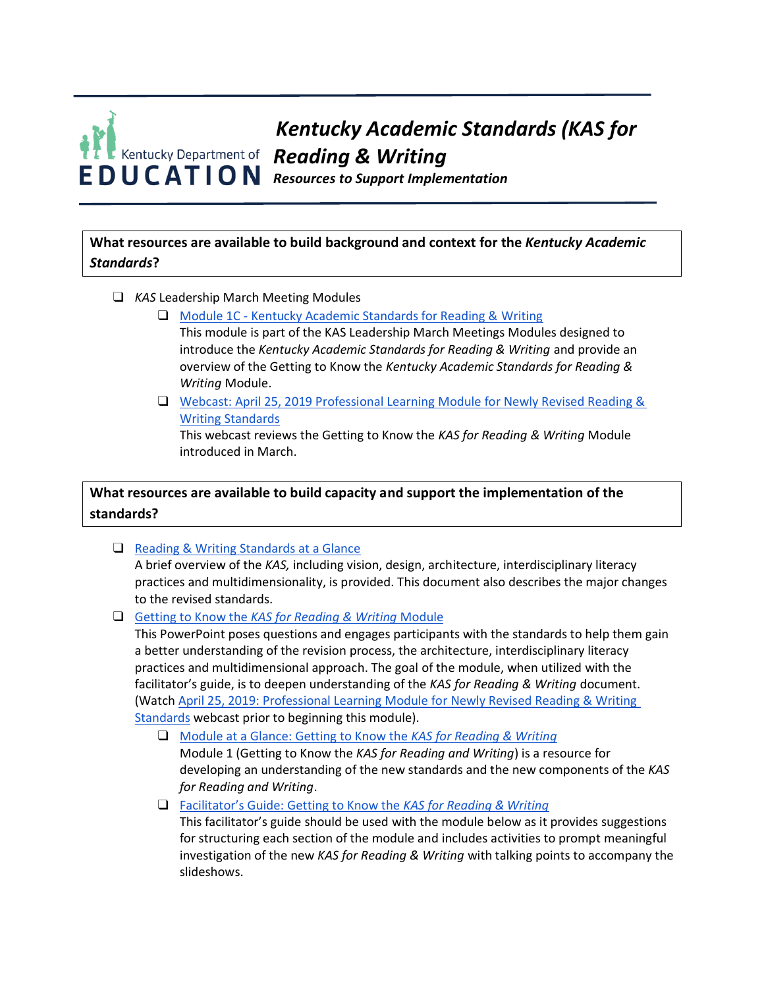# *Kentucky Academic Standards (KAS for Reading & Writing Resources to Support Implementation*

**What resources are available to build background and context for the** *Kentucky Academic Standards***?**

- ❑ *KAS* Leadership March Meeting Modules
	- ❑ Module 1C [Kentucky Academic Standards for Reading &](https://kystandards.org/wp-content/uploads/2019/04/Module_1c_KAS_for_Reading_and_Writing.pptx) Writing This module is part of the KAS Leadership March Meetings Modules designed to
		- introduce the *Kentucky Academic Standards for Reading & Writing* and provide an overview of the Getting to Know the *Kentucky Academic Standards for Reading & Writing* Module.
	- ❑ Webcast: April 25, 2019 [Professional Learning Module for Newly Revised Reading &](https://youtu.be/-WlTk6_nCmM) [Writing](https://youtu.be/-WlTk6_nCmM) [Standards](https://youtu.be/-WlTk6_nCmM)

This webcast reviews the Getting to Know the *KAS for Reading & Writing* Module introduced in March.

# **What resources are available to build capacity and support the implementation of the standards?**

- ❑ [Reading & Writing Standards at a](https://education.ky.gov/curriculum/standards/kyacadstand/Documents/KAS_for_RW_At_a_Glance.pdf) Glance A brief overview of the *KAS,* including vision, design, architecture, interdisciplinary literacy practices and multidimensionality, is provided. This document also describes the major changes to the revised standards.
- ❑ [Getting to Know the](https://kystandards.org/wp-content/uploads/2019/06/Getting_to_Know_the_KAS_for_Reading_and_Writing.pptx) *[KAS for Reading & Writing](https://kystandards.org/wp-content/uploads/2019/06/Getting_to_Know_the_KAS_for_Reading_and_Writing.pptx)* [Module](https://kystandards.org/wp-content/uploads/2019/06/Getting_to_Know_the_KAS_for_Reading_and_Writing.pptx)

This PowerPoint poses questions and engages participants with the standards to help them gain a better understanding of the revision process, the architecture, interdisciplinary literacy practices and multidimensional approach. The goal of the module, when utilized with the facilitator's guide, is to deepen understanding of the *KAS for Reading & Writing* document. (Watch [April 25, 2019: Professional Learning Module for Newly Revised Reading & Writing](https://youtu.be/-WlTk6_nCmM)  [Standards](https://youtu.be/-WlTk6_nCmM) webcast prior to beginning this module).

❑ [Module at a Glance: Getting to Know the](https://kystandards.org/wp-content/uploads/2019/04/Module_1_At_a_Glance_Reading_and_Writing.pdf) *[KAS for Reading &](https://kystandards.org/wp-content/uploads/2019/04/Module_1_At_a_Glance_Reading_and_Writing.pdf) Writing*

Module 1 (Getting to Know the *KAS for Reading and Writing*) is a resource for developing an understanding of the new standards and the new components of the *KAS for Reading and Writing*.

❑ [Facilitator's Guide: Getting to Know the](https://kystandards.org/wp-content/uploads/2019/06/Facilitators_Guide_Getting_to_Know_the_KAS_for_Reading_and_Writing.pdf) *[KAS for Reading &](https://kystandards.org/wp-content/uploads/2019/06/Facilitators_Guide_Getting_to_Know_the_KAS_for_Reading_and_Writing.pdf) Writing*

This facilitator's guide should be used with the module below as it provides suggestions for structuring each section of the module and includes activities to prompt meaningful investigation of the new *KAS for Reading & Writing* with talking points to accompany the slideshows.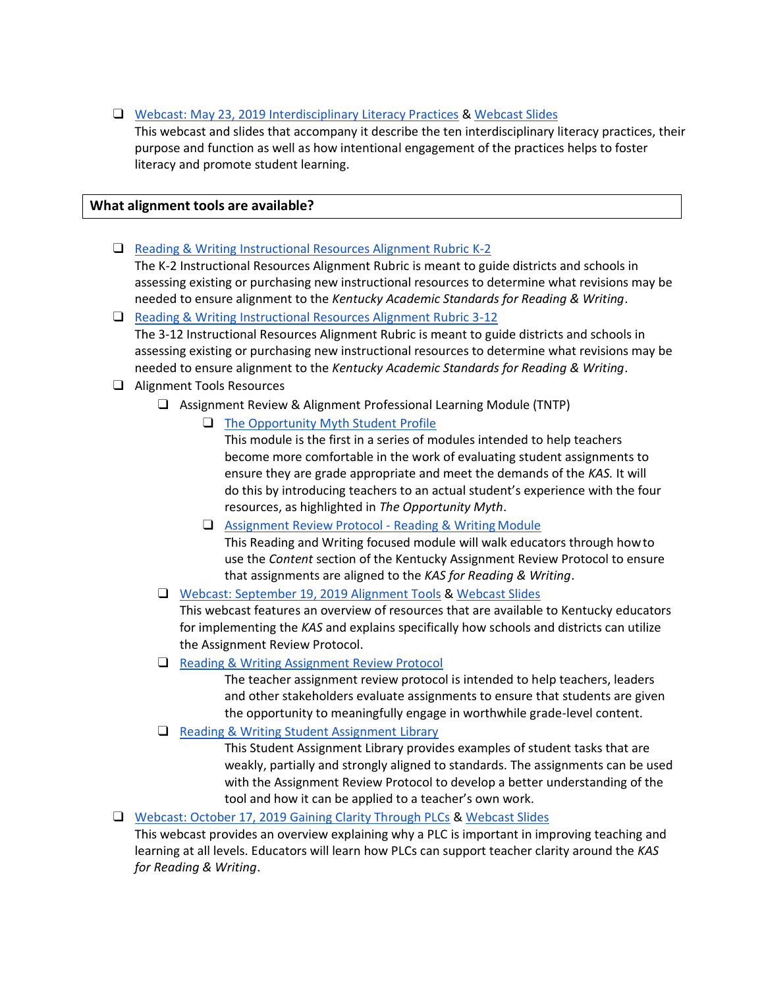❑ Webcast: May 23, 2019 [Interdisciplinary Literacy Practices](https://youtu.be/KRRsTQ_OCmQ) & [Webcast](https://kystandards.org/wp-content/uploads/2019/06/Interdisciplinary-Literacy-Practices-Webcast-1.pptx) Slides

This webcast and slides that accompany it describe the ten interdisciplinary literacy practices, their purpose and function as well as how intentional engagement of the practices helps to foster literacy and promote student learning.

# **What alignment tools are available?**

❑ [Reading & Writing Instructional Resources Alignment Rubric K-2](https://education.ky.gov/curriculum/standards/kyacadstand/Documents/Instructional_Resources_Alignment_Rubric_for_RW_K-2.docx)

The K-2 Instructional Resources Alignment Rubric is meant to guide districts and schools in assessing existing or purchasing new instructional resources to determine what revisions may be needed to ensure alignment to the *Kentucky Academic Standards for Reading & Writing*.

# ❑ [Reading & Writing Instructional Resources Alignment Rubric 3-12](https://education.ky.gov/curriculum/standards/kyacadstand/Documents/Instructional_Resources_Alignment_Rubric_for_RW_Grades_3-12.docx)

The 3-12 Instructional Resources Alignment Rubric is meant to guide districts and schools in assessing existing or purchasing new instructional resources to determine what revisions may be needed to ensure alignment to the *Kentucky Academic Standards for Reading & Writing*.

- ❑ Alignment Tools Resources
	- ❑ Assignment Review & Alignment Professional Learning Module (TNTP)
		- ❑ [The Opportunity Myth Student](https://sway.office.com/KSyCiwGibZkmNcWV?ref=Link&loc=play) Profile

This module is the first in a series of modules intended to help teachers become more comfortable in the work of evaluating student assignments to ensure they are grade appropriate and meet the demands of the *KAS.* It will do this by introducing teachers to an actual student's experience with the four resources, as highlighted in *The Opportunity Myth*.

- ❑ [Assignment Review Protocol -](https://sway.office.com/2kcaF3MuFTxHJkQN?ref=Link) Reading & Writing Module This Reading and Writing focused module will walk educators through howto use the *Content* section of the Kentucky Assignment Review Protocol to ensure that assignments are aligned to the *KAS for Reading & Writing*.
- ❑ [Webcast: September 19, 2019](https://www.youtube.com/watch?v=iUTUCAID8uk) Alignment Tools & [Webcast](https://education.ky.gov/curriculum/standards/kyacadstand/Documents/Alignment_Tools_Webcast_Slides.pptx) Slides

This webcast features an overview of resources that are available to Kentucky educators for implementing the *KAS* and explains specifically how schools and districts can utilize the Assignment Review Protocol.

❑ [Reading & Writing Assignment Review](https://education.ky.gov/curriculum/standards/kyacadstand/Documents/Reading_and_Writing_Assignment_Review_Protocol.docx) Protocol

The teacher assignment review protocol is intended to help teachers, leaders and other stakeholders evaluate assignments to ensure that students are given the opportunity to meaningfully engage in worthwhile grade-level content.

❑ [Reading & Writing Student Assignment](https://kystandards.org/standards-resources/sal/) Library

This Student Assignment Library provides examples of student tasks that are weakly, partially and strongly aligned to standards. The assignments can be used with the [Assignment Review Protocol t](https://kystandards.org/standards-resources/assignment-review-protocols/)o develop a better understanding of the tool and how it can be applied to a teacher's own work.

❑ Webcast: October 17, 2019 [Gaining Clarity Through PLCs](https://youtu.be/M1fLex2mvvQ) & [Webcast](https://education.ky.gov/curriculum/standards/kyacadstand/Documents/Oct_17_Webcast_Clarity_in_PLCs.pptx) Slides

This webcast provides an overview explaining why a PLC is important in improving teaching and learning at all levels. Educators will learn how PLCs can support teacher clarity around the *KAS for Reading & Writing*.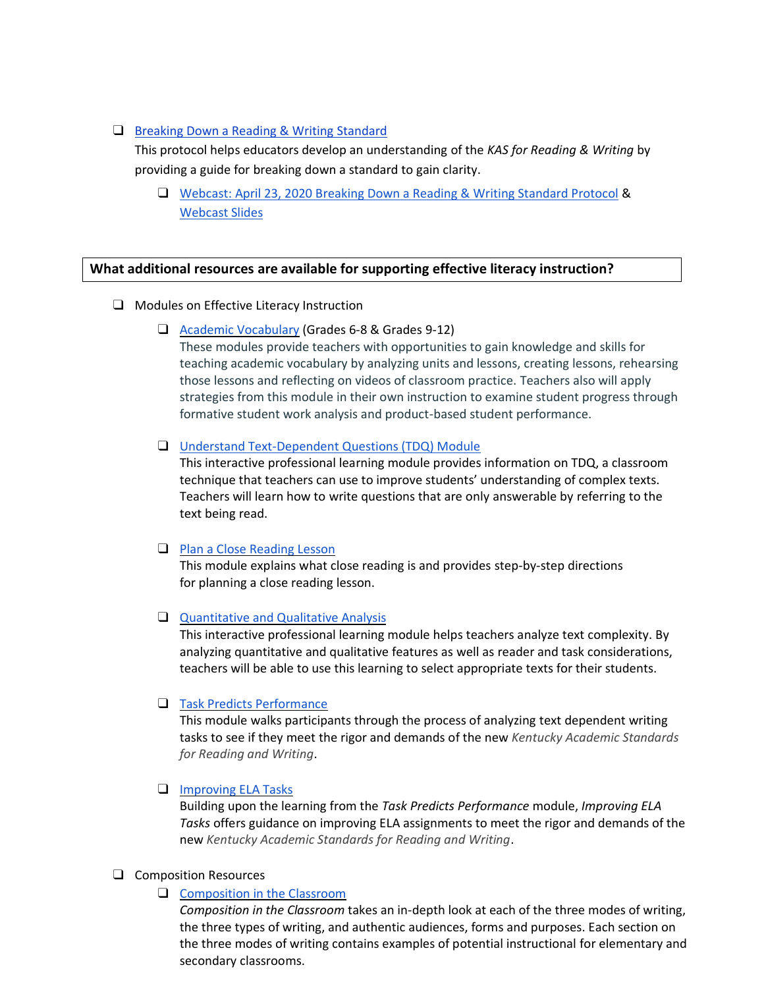#### ❑ [Breaking Down a Reading & Writing](https://education.ky.gov/curriculum/standards/kyacadstand/Documents/Breaking_Down_a_Reading_and_Writing_Standard.pdf) Standard

This protocol helps educators develop an understanding of the *KAS for Reading & Writing* by providing a guide for breaking down a standard to gain clarity.

❑ Webcast: April 23, 2020 [Breaking Down a Reading & Writing Standard Protocol](https://youtu.be/WavygFh4UU8) [&](https://education.ky.gov/curriculum/standards/kyacadstand/Documents/Reading_and_Writing_Breaking_Down_a_Standard_Protocol.pptx) [Webcast](https://education.ky.gov/curriculum/standards/kyacadstand/Documents/Reading_and_Writing_Breaking_Down_a_Standard_Protocol.pptx) Slides

# **What additional resources are available for supporting effective literacy instruction?**

- ❑ Modules on Effective Literacy Instruction
	- ❑ [Academic Vocabulary](https://kystandards.org/standards-resources/rw-resources/rw-pl-modules/academic-vocabulary/) (Grades 6-8 & Grades 9-12)

These modules provide teachers with opportunities to gain knowledge and skills for teaching academic vocabulary by analyzing units and lessons, creating lessons, rehearsing those lessons and reflecting on videos of classroom practice. Teachers also will apply strategies from this module in their own instruction to examine student progress through formative student work analysis and product-based student performance.

#### ❑ [Understand Text-Dependent Questions \(TDQ\) Module](https://kystandards.org/utdq/)

This interactive professional learning module provides information on TDQ, a classroom technique that teachers can use to improve students' understanding of complex texts. Teachers will learn how to write questions that are only answerable by referring to the text being read.

#### ❑ [Plan a Close Reading Lesson](https://kystandards.org/standards-resources/rw-resources/rw-pl-modules/pacrl/)

This module explains what close reading is and provides step-by-step directions for planning a close reading lesson.

#### ❑ [Quantitative and Qualitative Analysis](https://kystandards.org/standards-resources/rw-resources/rw-pl-modules/quant_qual_analysis/)

This interactive professional learning module helps teachers analyze text complexity. By analyzing quantitative and qualitative features as well as reader and task considerations, teachers will be able to use this learning to select appropriate texts for their students.

#### ❑ [Task Predicts Performance](https://kystandards.org/task-predicts-performance/)

This module walks participants through the process of analyzing text dependent writing tasks to see if they meet the rigor and demands of the new *Kentucky Academic Standards for Reading and Writing*.

#### ❑ [Improving ELA Tasks](https://kystandards.org/standards-resources/rw-resources/rw-pl-modules/improving-ela-tasks/)

Building upon the learning from the *Task Predicts Performance* module, *Improving ELA Tasks* offers guidance on improving ELA assignments to meet the rigor and demands of the new *Kentucky Academic Standards for Reading and Writing*.

#### ❑ Composition Resources

❑ [Composition in the Classroom](https://education.ky.gov/curriculum/standards/kyacadstand/Documents/Composition_in_the_Classroom.pdf)

*Composition in the Classroom* takes an in-depth look at each of the three modes of writing, the three types of writing, and authentic audiences, forms and purposes. Each section on the three modes of writing contains examples of potential instructional for elementary and secondary classrooms.